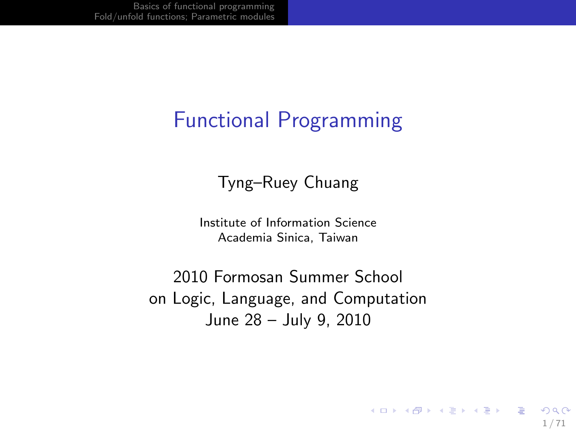### Functional Programming

#### Tyng–Ruey Chuang

Institute of Information Science Academia Sinica, Taiwan

2010 Formosan Summer School on Logic, Language, and Computation June 28 – July 9, 2010

1 / 71

K ロ ▶ K @ ▶ K 할 ▶ K 할 ▶ ( 할 ) 900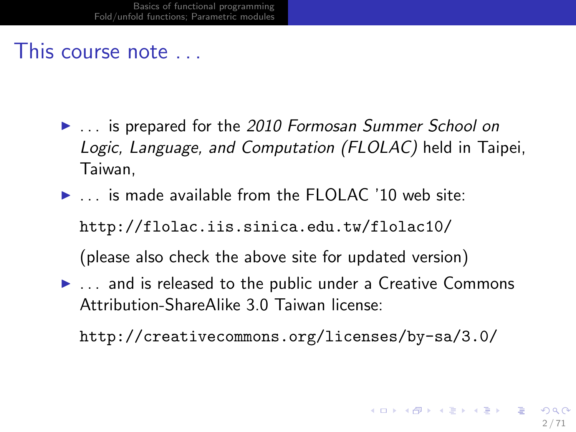#### This course note . . .

- **In the 2010 Formosan Summer School on** Logic, Language, and Computation (FLOLAC) held in Taipei, Taiwan,
- $\blacktriangleright$  ... is made available from the FLOLAC '10 web site: http://flolac.iis.sinica.edu.tw/flolac10/ (please also check the above site for updated version)
- $\blacktriangleright$  ... and is released to the public under a Creative Commons Attribution-ShareAlike 3.0 Taiwan license:

http://creativecommons.org/licenses/by-sa/3.0/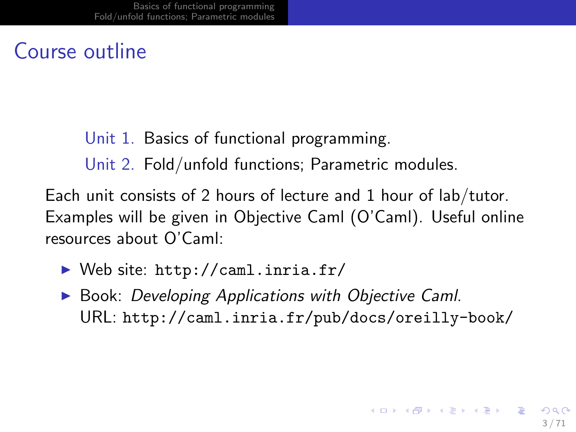#### Course outline

#### Unit 1. Basics of functional programming.

Unit 2. Fold/unfold functions; Parametric modules.

Each unit consists of 2 hours of lecture and 1 hour of lab/tutor. Examples will be given in Objective Caml (O'Caml). Useful online resources about O'Caml:

- $\triangleright$  Web site: http://caml.inria.fr/
- $\triangleright$  Book: Developing Applications with Objective Caml. URL: http://caml.inria.fr/pub/docs/oreilly-book/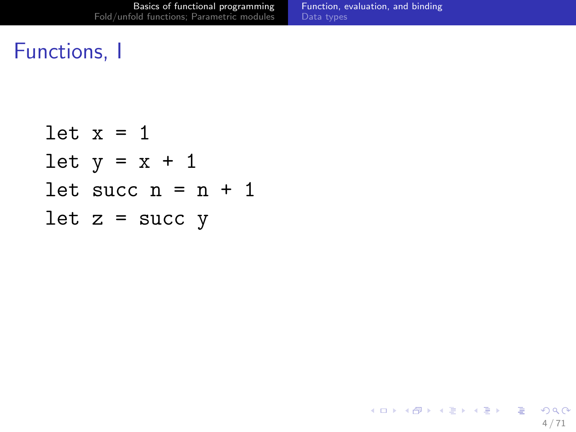<span id="page-3-0"></span> $299$ 

イロト 不優 ト 不差 ト 不差 トー 差し

### Functions, I

let 
$$
x = 1
$$

\nlet  $y = x + 1$ 

\nlet  $succ$   $n = n + 1$ 

\nlet  $z = succ$   $y$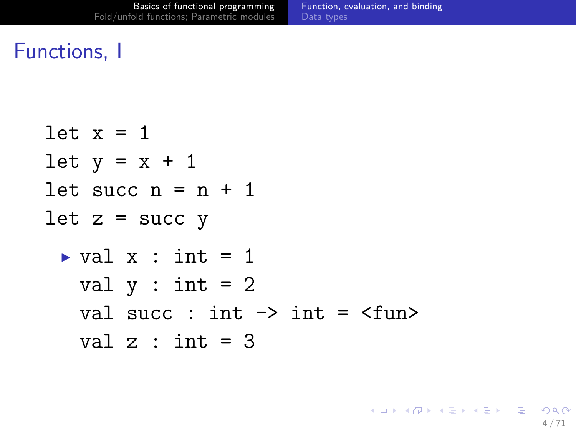### Functions, I

let x = 1 let y = x + 1 let succ n = n + 1 let z = succ y <sup>I</sup> val x : int = 1 val y : int = 2 val succ : int -> int = <fun> val z : int = 3

<span id="page-4-0"></span>イロト 不優 ト 不差 ト 不差 トー 差し  $299$ 4 / 71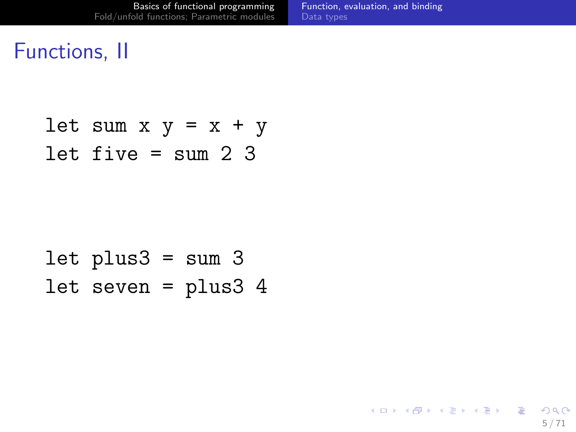### Functions, II

let sum  $x$   $y = x + y$ let five  $=$  sum 2 3

```
let plus3 = sum 3let seven = plus3 4
```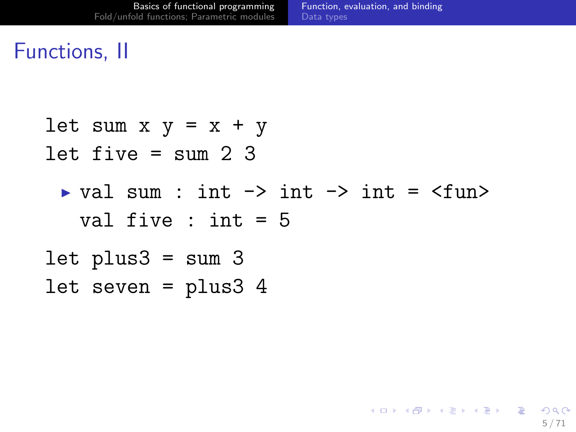5 / 71

K ロ > K 何 > K 君 > K 君 > 「君」 の Q Q

### Functions, II

let sum  $x y = x + y$ let five  $=$  sum 2 3  $\triangleright$  val sum : int  $\rightarrow$  int  $\rightarrow$  int  $\preceq$  fun> val five : int = 5 let  $plus3 = sum 3$ let seven = plus3 4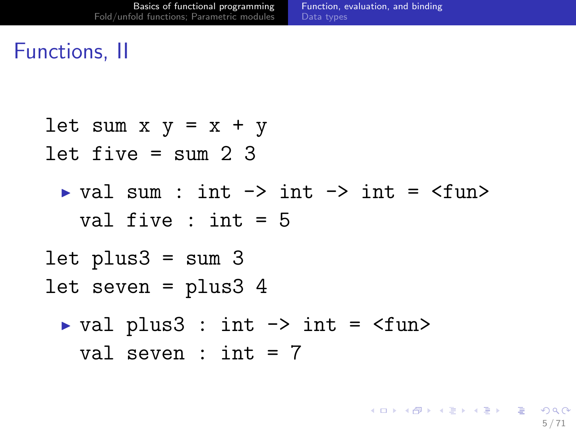### Functions, II

let sum  $x$   $y = x + y$ let five  $=$  sum 2 3  $\triangleright$  val sum : int  $\rightarrow$  int  $\rightarrow$  int =  $\langle$ fun> val five : int = 5 let plus $3 =$ sum  $3$ let seven = plus3 4  $\triangleright$  val plus3 : int  $\rightarrow$  int =  $\langle$ fun> val seven :  $int = 7$ 

K ロ > K 何 > K 君 > K 君 > 「君」 の Q Q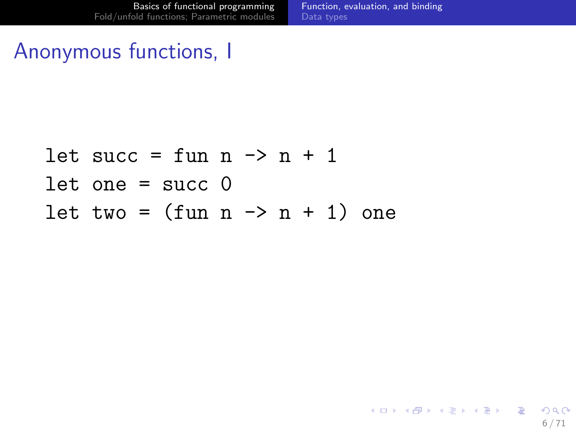### Anonymous functions, I

```
let succ = fun n \rightarrow n + 1let one = succ 0let two = (fun n \rightarrow n + 1) one
```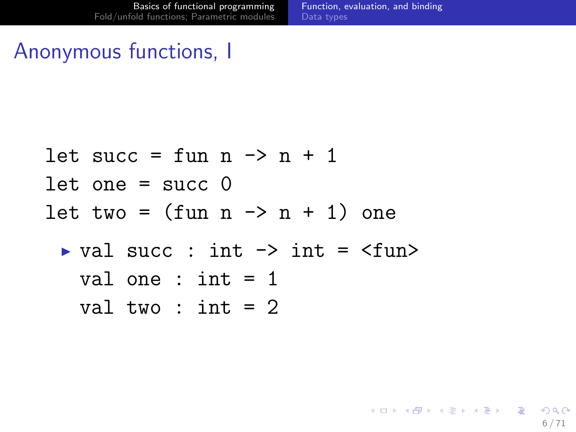6 / 71

K ロ ▶ K 個 ▶ K 로 ▶ K 로 ▶ - 로 - K 9 Q @

### Anonymous functions, I

```
let succ = fun n \rightarrow n + 1let one = succ \thetalet two = (fun n \rightarrow n + 1) one
 \triangleright val succ : int \rightarrow int = \langlefun>
    val one : int = 1val two : int = 2
```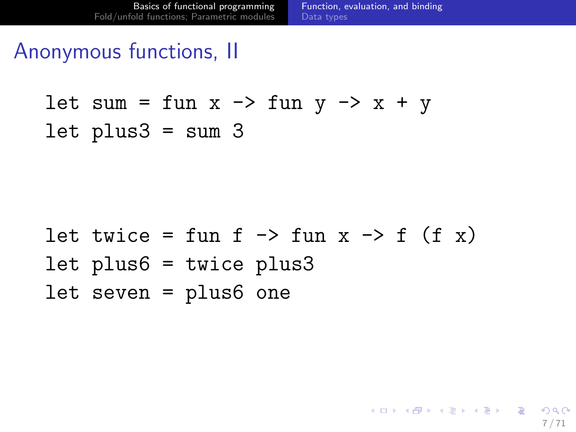### Anonymous functions, II

let sum = fun 
$$
x \rightarrow
$$
 fun  $y \rightarrow x + y$   
let plus3 = sum 3

let twice = fun f -> fun x -> f (f x) let plus6 = twice plus3 let seven = plus6 one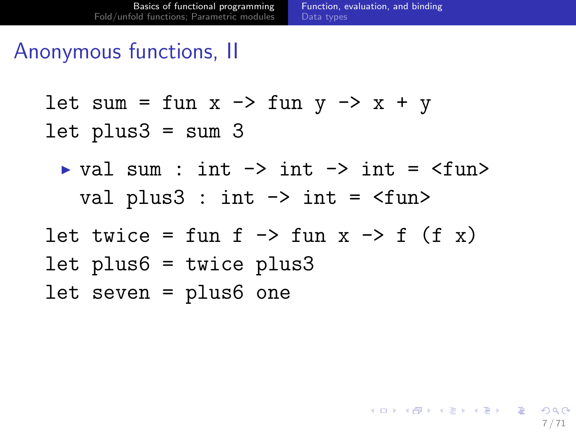### Anonymous functions, II

let sum = fun x  $\rightarrow$  fun y  $\rightarrow$  x + y let  $plus3 = sum 3$ 

- $\triangleright$  val sum : int  $\rightarrow$  int  $\rightarrow$  int =  $\langle$ fun> val plus3 : int  $\rightarrow$  int =  $\langle$ fun>
- let twice = fun f  $\rightarrow$  fun x  $\rightarrow$  f (f x) let plus6 = twice plus3 let seven = plus6 one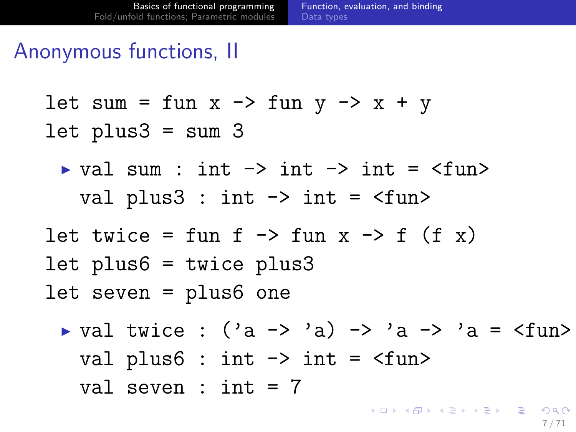### Anonymous functions, II

let sum = fun x  $\rightarrow$  fun y  $\rightarrow$  x + y let  $plus3 = sum 3$ 

- $\triangleright$  val sum : int  $\rightarrow$  int  $\rightarrow$  int =  $\langle$ fun> val plus3 : int  $\rightarrow$  int =  $\langle$ fun>
- let twice = fun f  $\rightarrow$  fun x  $\rightarrow$  f (f x) let plus6 = twice plus3 let seven = plus6 one
	- $\triangleright$  val twice : ('a -> 'a) -> 'a -> 'a = <fun> val plus $6:$  int  $\rightarrow$  int =  $\langle$ fun> val seven :  $int = 7$ 
		- 7 / 71

K ロ ▶ K @ ▶ K 할 ▶ K 할 ▶ 이 할 → 9 Q Q →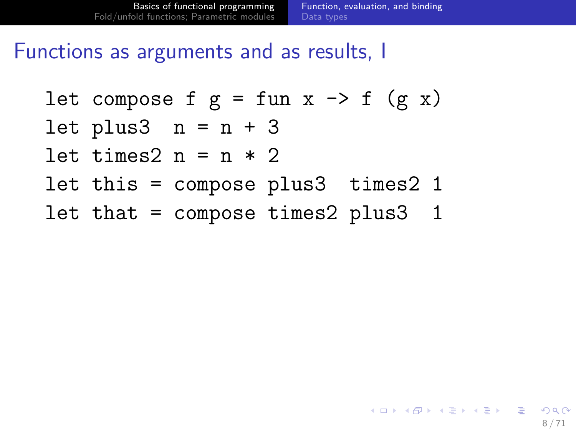### Functions as arguments and as results, I

let compose f g = fun x 
$$
\rightarrow
$$
 f (g x)

$$
let plus 3 \quad n = n + 3
$$

let times2  $n = n * 2$ 

- let this = compose plus3 times2 1
- let that = compose times2 plus3 1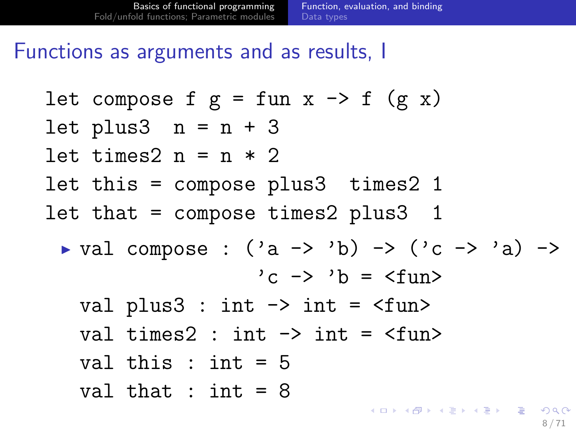### Functions as arguments and as results, I

let compose f g = fun x -> f (g x) let plus3 n = n + 3 let times2 n = n \* 2 let this = compose plus3 times2 1 let that = compose times2 plus3 1 <sup>I</sup> val compose : ('a -> 'b) -> ('c -> 'a) -> 'c -> 'b = <fun> val plus3 : int -> int = <fun> val times2 : int -> int = <fun> val this : int = 5 val that : int = 8 

8 / 71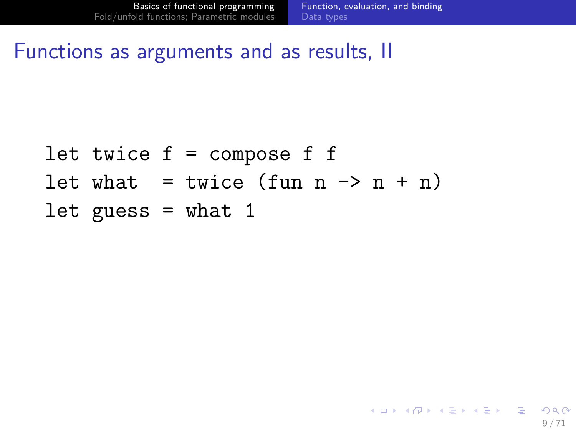K ロ > K 何 > K 君 > K 君 > 「君」 の Q Q

Functions as arguments and as results, II

let twice  $f =$  compose  $f$   $f$ let what = twice (fun  $n \rightarrow n + n$ ) let guess  $=$  what 1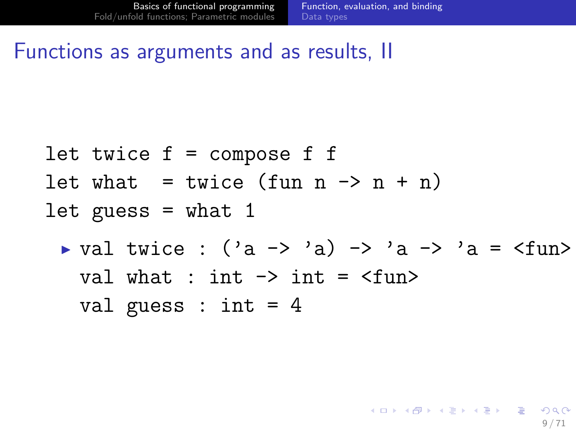K ロ ▶ K @ ▶ K 할 ▶ K 할 ▶ → 할 → 9 Q @

#### Functions as arguments and as results, II

let twice f = compose f f let what = twice (fun n -> n + n) let guess = what 1 <sup>I</sup> val twice : ('a -> 'a) -> 'a -> 'a = <fun> val what : int -> int = <fun> val guess : int = 4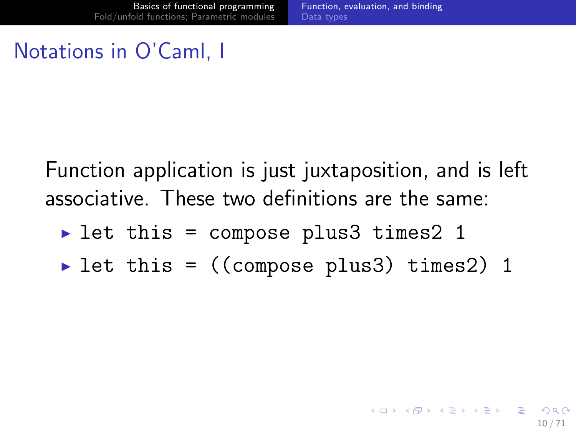### Notations in O'Caml, I

Function application is just juxtaposition, and is left associative. These two definitions are the same:

- let this = compose plus3 times2 1
- let this =  $((\text{composite plus3}) \text{ times2})$  1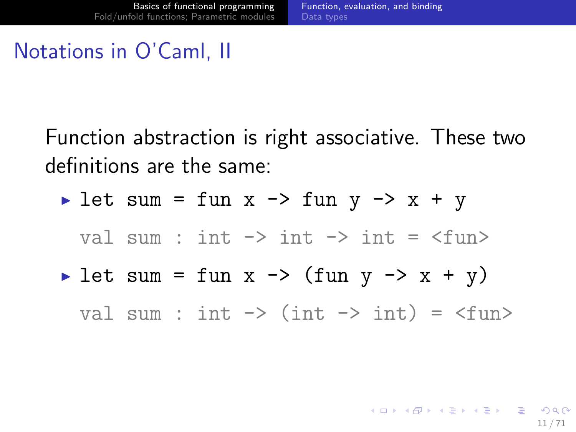### Notations in O'Caml, II

Function abstraction is right associative. These two definitions are the same:

$$
\text{Let sum} = \text{fun} \ x \ \text{--}\x \ \text{fun} \ y \ \text{--}\x \ + \ y
$$

val sum : int  $\rightarrow$  int  $\rightarrow$  int =  $\langle$ fun>

Iet sum = fun x -> (fun y -> x + y)

val sum : int  $\rightarrow$  (int  $\rightarrow$  int) =  $\langle$ fun $\rangle$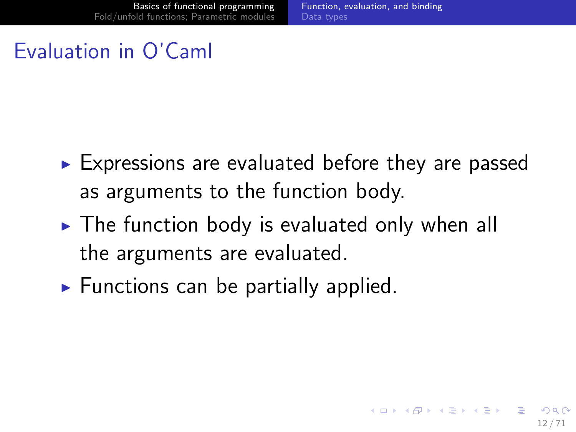### Evaluation in O'Caml

- $\triangleright$  Expressions are evaluated before they are passed as arguments to the function body.
- $\triangleright$  The function body is evaluated only when all the arguments are evaluated.
- $\blacktriangleright$  Functions can be partially applied.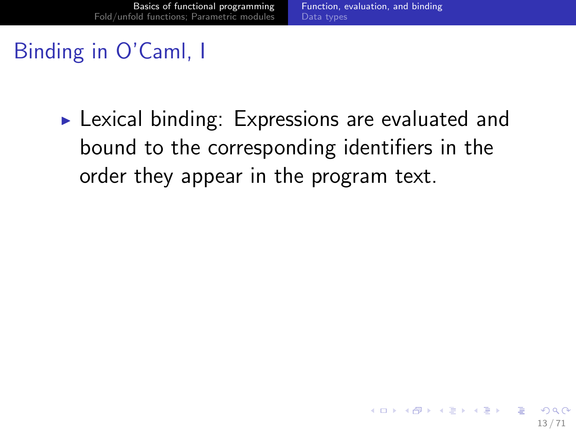### Binding in O'Caml, I

 $\triangleright$  Lexical binding: Expressions are evaluated and bound to the corresponding identifiers in the order they appear in the program text.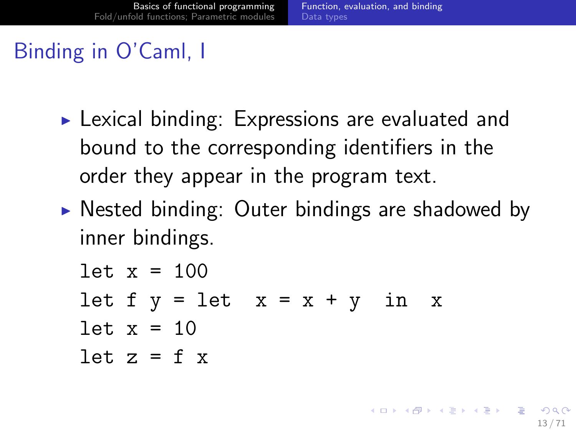K ロ ▶ K 個 ▶ K 君 ▶ K 君 ▶ 「君」 約9.09

# Binding in O'Caml, I

- $\triangleright$  Lexical binding: Expressions are evaluated and bound to the corresponding identifiers in the order they appear in the program text.
- $\triangleright$  Nested binding: Outer bindings are shadowed by inner bindings.

$$
let x = 100
$$

- let  $f y = let x = x + y in x$
- let  $x = 10$
- let  $z = f x$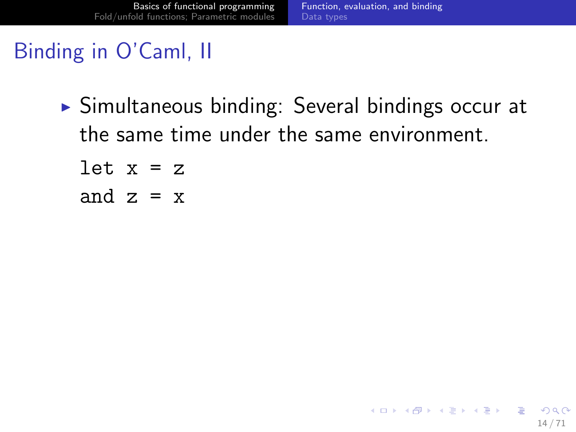K ロ > K 何 > K 君 > K 君 > 「君」 の Q Q

### Binding in O'Caml, II

- $\triangleright$  Simultaneous binding: Several bindings occur at the same time under the same environment.
	- let  $x = z$ and  $z = x$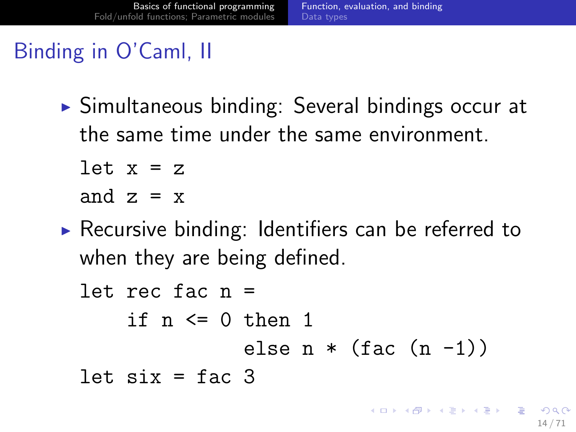### Binding in O'Caml, II

 $\triangleright$  Simultaneous binding: Several bindings occur at the same time under the same environment.

$$
let x = z
$$

and  $z = x$ 

 $\triangleright$  Recursive binding: Identifiers can be referred to when they are being defined.

let rec fac n = if n <= 0 then 1 else n \* (fac (n -1)) let six = fac 3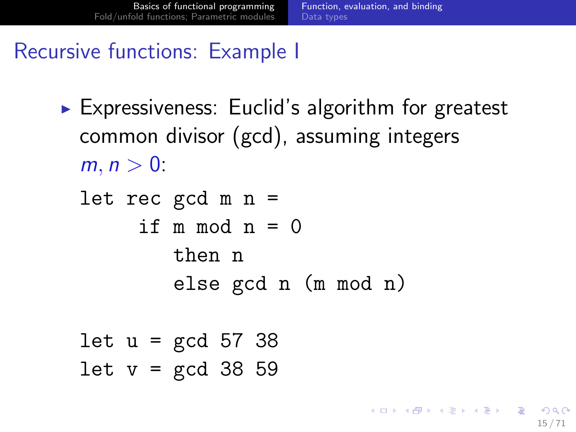K ロ ▶ K @ ▶ K 할 ▶ K 할 ▶ ( 할 ) 900

### Recursive functions: Example I

- $\triangleright$  Expressiveness: Euclid's algorithm for greatest common divisor (gcd), assuming integers  $m, n > 0$ 
	- let rec  $gcd m n =$ if  $m \mod n = 0$ then n else gcd n (m mod n)
	- let  $u = \text{gcd } 57$  38 let  $v = \text{gcd } 38$  59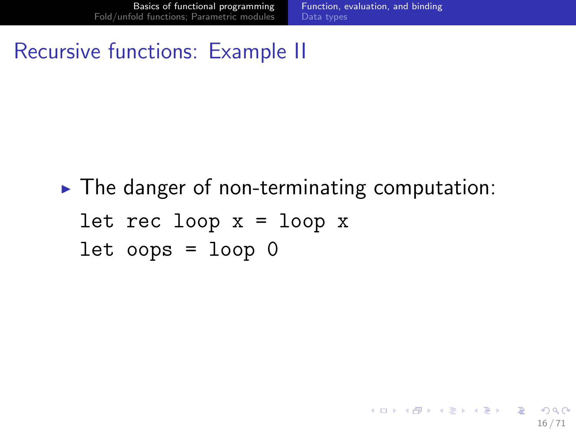K ロ > K 何 > K 君 > K 君 > 「君」 の Q Q

#### Recursive functions: Example II

 $\triangleright$  The danger of non-terminating computation: let rec loop  $x = loop x$  $let$  oops =  $loop$  0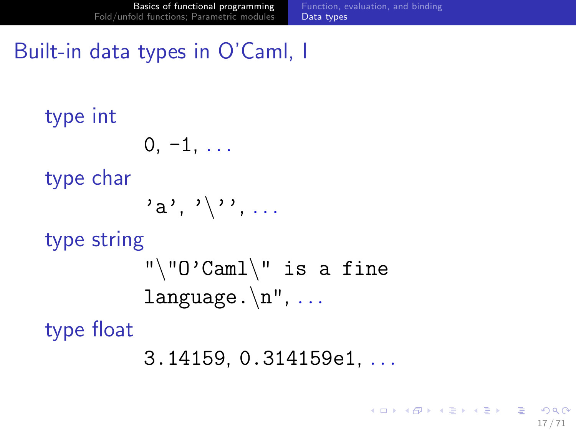### Built-in data types in O'Caml, I

```
type int
            0, -1, \ldotstype char
            a', '\langle'', ...
type string
            "\U0'Caml\U is a fine
            language.\n\cdot \mathbf{n}", ...
type float
            3.14159, 0.314159e1, . . .
```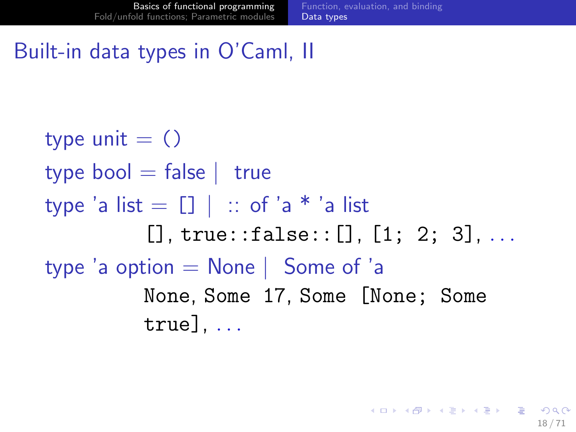### Built-in data types in O'Caml, II

type unit  $= ()$ type bool  $=$  false | true type 'a list  $=$   $\lceil \cdot \rceil$  | :: of 'a \* 'a list  $[1, true::false::[1, 1: 2: 3], ...$ type 'a option  $=$  None | Some of 'a None, Some 17, Some [None; Some  $true$ ]...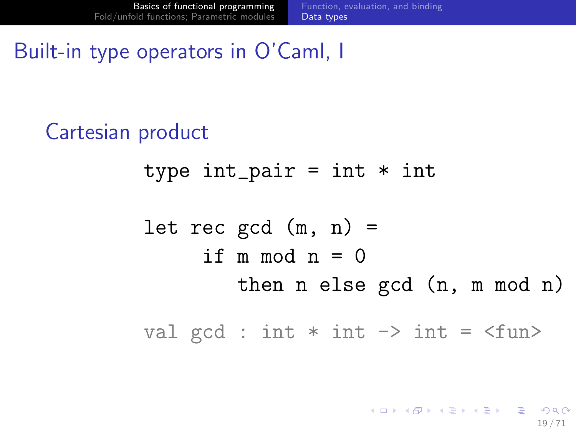```
Built-in type operators in O'Caml, I
```
Cartesian product type  $int\_pair = int * int$ let rec  $gcd(m, n) =$ if  $m \mod n = 0$ then n else gcd (n, m mod n) val gcd : int  $*$  int  $\rightarrow$  int =  $\langle$ fun>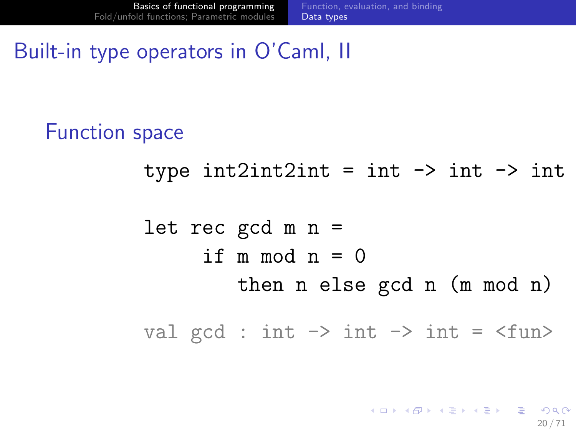### Built-in type operators in O'Caml, II

Function space

type  $int2int2int = int -\gt int -\gt int$ 

let rec gcd m n = if  $m \mod n = 0$ then n else gcd n (m mod n)

val gcd : int  $\rightarrow$  int  $\rightarrow$  int =  $\langle$ fun>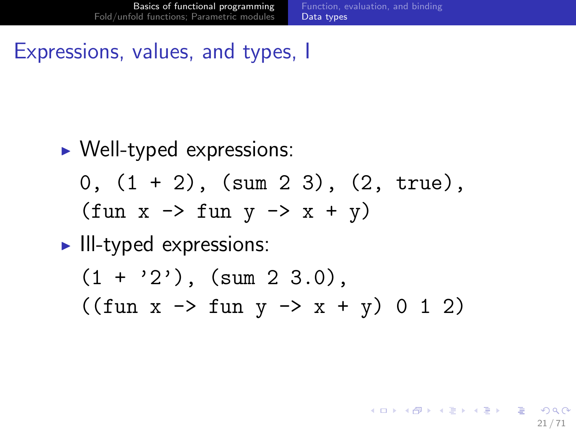K ロ ▶ K @ ▶ K 할 ▶ K 할 ▶ ( 할 ) 900

#### Expressions, values, and types, I

- $\triangleright$  Well-typed expressions:
	- $0, (1 + 2), (sum 2 3), (2, true),$  $(\text{fun } x \rightarrow \text{fun } y \rightarrow x + y)$
- $\blacktriangleright$  III-typed expressions:
	- $(1 + '2')$ ,  $(sum 2 3.0)$ ,  $((\text{fun } x \rightarrow \text{fun } y \rightarrow x + y) 0 1 2)$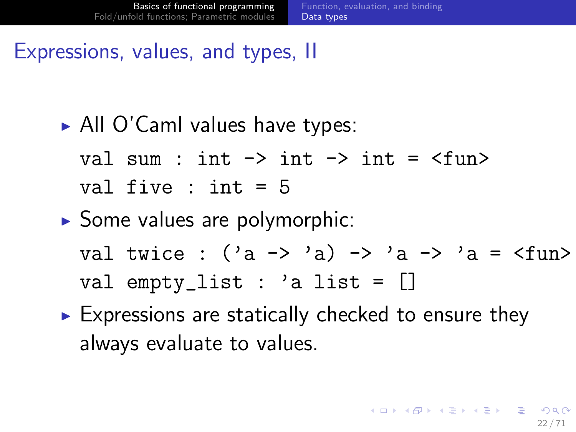### Expressions, values, and types, II

 $\triangleright$  All O'Caml values have types:

val sum : int  $\rightarrow$  int  $\rightarrow$  int =  $\langle$ fun> val five : int = 5

- $\triangleright$  Some values are polymorphic: val twice :  $('a \rightarrow 'a) \rightarrow 'a \rightarrow 'a = \frac{\text{tun}}{\text{tun}}$ val empty\_list : 'a list = []
- $\triangleright$  Expressions are statically checked to ensure they always evaluate to values.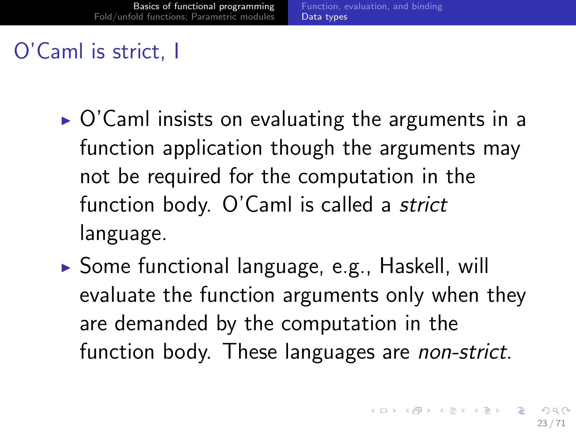### O'Caml is strict, I

- $\triangleright$  O'Caml insists on evaluating the arguments in a function application though the arguments may not be required for the computation in the function body. O'Caml is called a strict language.
- $\triangleright$  Some functional language, e.g., Haskell, will evaluate the function arguments only when they are demanded by the computation in the function body. These languages are non-strict.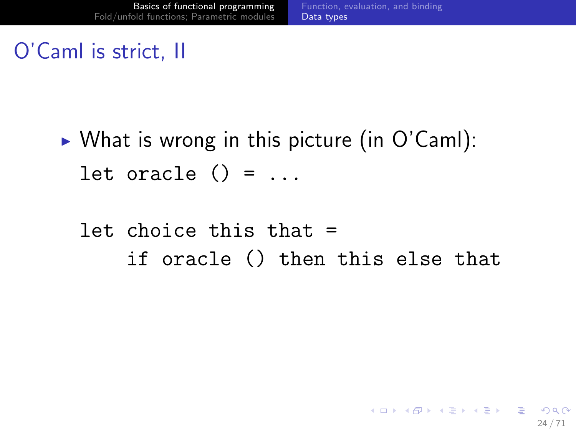### O'Caml is strict, II

 $\triangleright$  What is wrong in this picture (in O'Caml): let oracle  $() = ...$ 

### let choice this that = if oracle () then this else that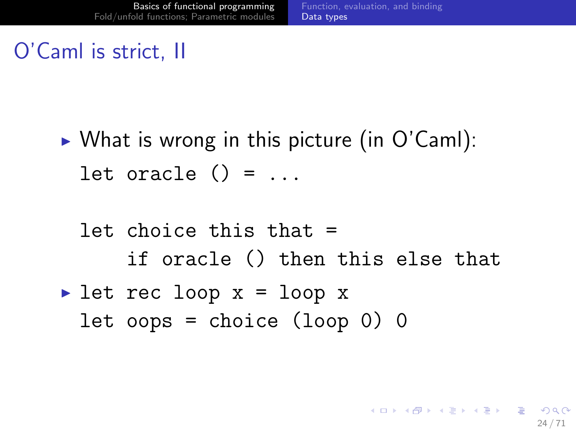### O'Caml is strict, II

 $\triangleright$  What is wrong in this picture (in O'Caml): let oracle  $() = ...$ 

# let choice this that = if oracle () then this else that

let rec loop  $x = loop x$ let oops = choice (loop 0) 0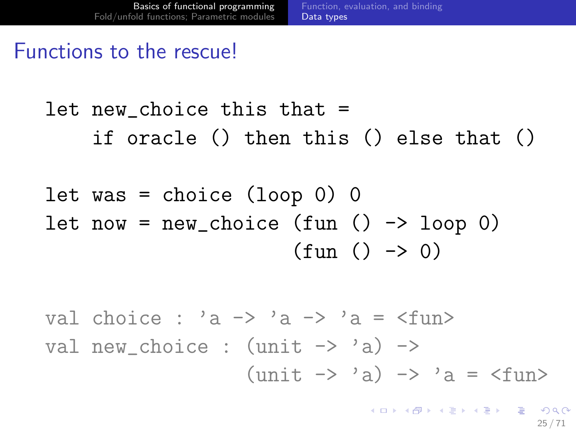#### Functions to the rescue!

# let new choice this that  $=$ if oracle () then this () else that ()

let was = choice  $(logno)$  0 let now =  $new\_choice$  (fun ()  $\rightarrow$  loop 0)  $(fun () \rightarrow 0)$ 

val choice : 'a  $\rightarrow$  'a  $\rightarrow$  'a =  $\langle$ fun> val new choice :  $(unit \rightarrow 'a)$  ->  $(unit \rightarrow 'a) \rightarrow 'a =$ 

> **KORK EX KEY EL SORA** 25 / 71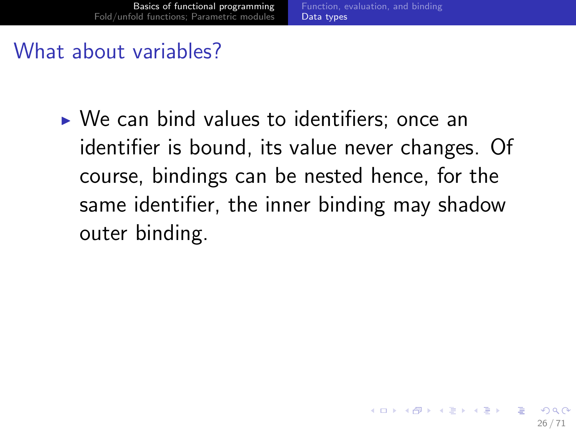## What about variables?

 $\triangleright$  We can bind values to identifiers; once an identifier is bound, its value never changes. Of course, bindings can be nested hence, for the same identifier, the inner binding may shadow outer binding.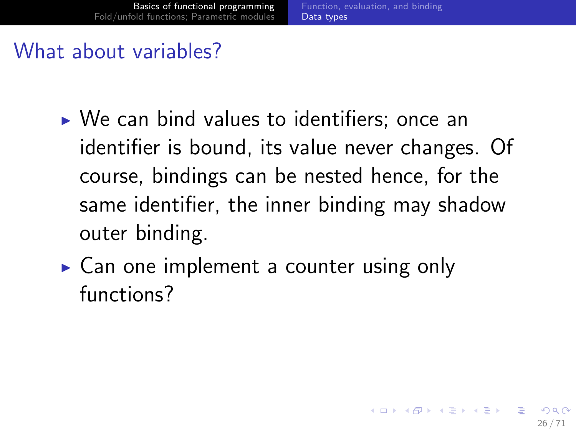## What about variables?

- $\triangleright$  We can bind values to identifiers; once an identifier is bound, its value never changes. Of course, bindings can be nested hence, for the same identifier, the inner binding may shadow outer binding.
- $\triangleright$  Can one implement a counter using only functions?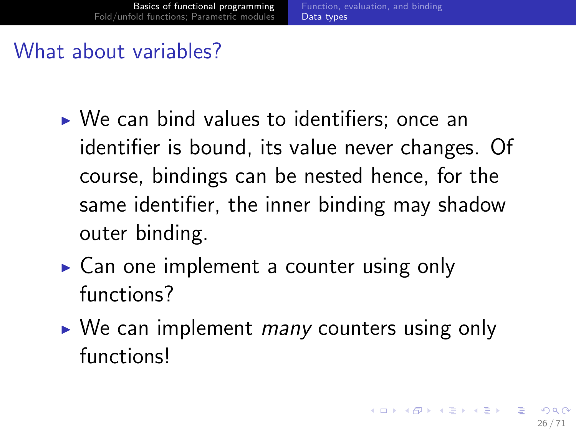## What about variables?

- $\triangleright$  We can bind values to identifiers; once an identifier is bound, its value never changes. Of course, bindings can be nested hence, for the same identifier, the inner binding may shadow outer binding.
- $\triangleright$  Can one implement a counter using only functions?
- $\triangleright$  We can implement *many* counters using only functions!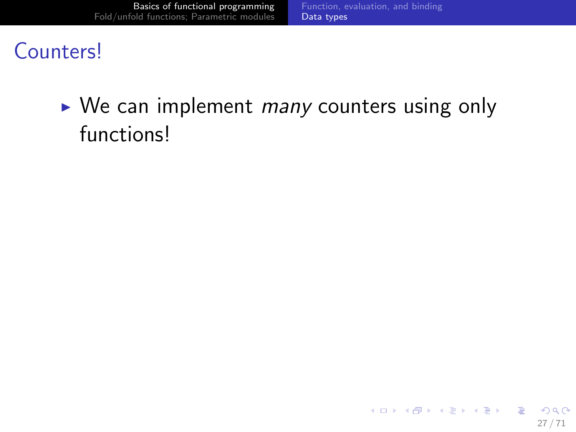## **Counters!**

## $\triangleright$  We can implement *many* counters using only functions!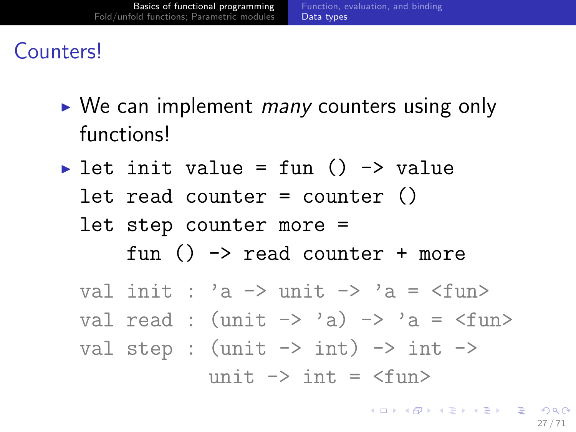## Counters!

- $\triangleright$  We can implement *many* counters using only functions!
- let init value = fun ()  $\rightarrow$  value let read counter = counter () let step counter more = fun  $() \rightarrow$  read counter + more

val init : 'a  $\rightarrow$  unit  $\rightarrow$  'a =  $\langle$ fun> val read :  $(unit \rightarrow 'a) \rightarrow 'a = \langle fun \rangle$ val step :  $(unit \rightarrow int) \rightarrow int \rightarrow$ unit  $\rightarrow$  int =  $\langle$ fun $\rangle$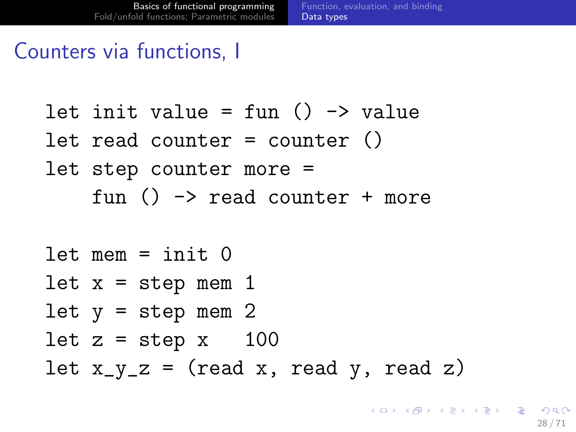### Counters via functions, I

let init value = fun  $() \rightarrow$  value let read counter = counter () let step counter more = fun  $() \rightarrow$  read counter + more

 $let$  mem =  $init$   $0$ let  $x = step$  mem 1 let  $y = step$  mem 2 let  $z = step x$  100 let  $x_y_z = (read x, read y, read z)$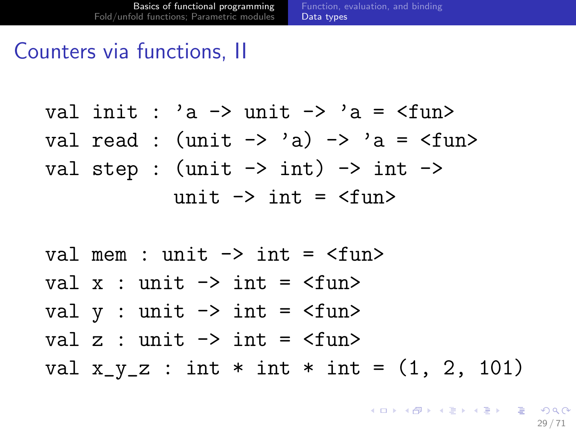[Function, evaluation, and binding](#page-3-0) [Data types](#page-26-0)

#### Counters via functions, II

val init :  $a \rightarrow$  unit  $\rightarrow a =$   $\tan$ val read :  $(unit \rightarrow 'a) \rightarrow 'a =$ val step :  $(unit \rightarrow int) \rightarrow int \rightarrow$ unit  $\rightarrow$  int =  $\langle$ fun $\rangle$ 

val mem : unit  $\rightarrow$  int =  $\langle$ fun> val  $x :$  unit  $\rightarrow$  int =  $\langle$ fun $\rangle$ val  $y$  : unit  $\rightarrow$  int =  $\langle$ fun> val  $z$  : unit  $\rightarrow$  int =  $\langle$ fun $\rangle$ val  $x_{y}z : int * int * int = (1, 2, 101)$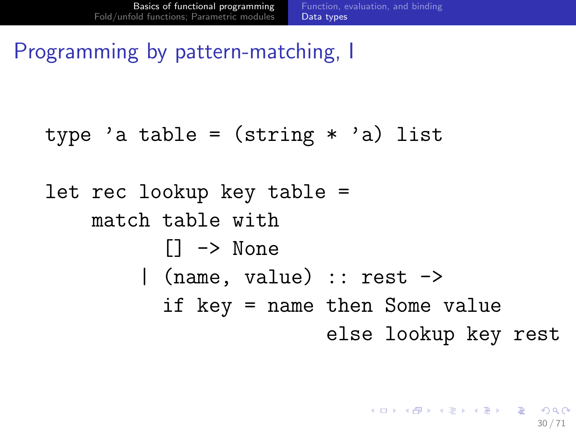Programming by pattern-matching, I

#### type 'a table =  $(\text{string} * 'a)$  list

# let rec lookup key table = match table with  $\Box$   $\rightarrow$  None | (name, value) :: rest -> if key = name then Some value else lookup key rest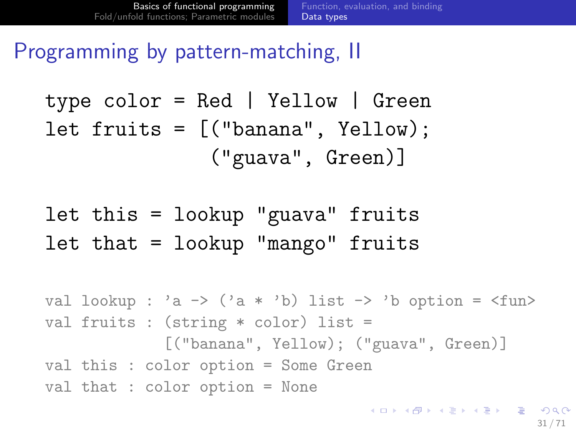Programming by pattern-matching, II

type color = Red | Yellow | Green let fruits = [("banana", Yellow); ("guava", Green)]

let this = lookup "guava" fruits let that = lookup "mango" fruits

```
val lookup : 'a \rightarrow ('a * 'b) list \rightarrow 'b option = \langlefun>
val fruits : (string * color) list =
               [("banana", Yellow); ("guava", Green)]
val this : color option = Some Green
val that : color option = None
```
K ロ ▶ K @ ▶ K 할 ▶ K 할 ▶ 이 할 → 9 Q Q →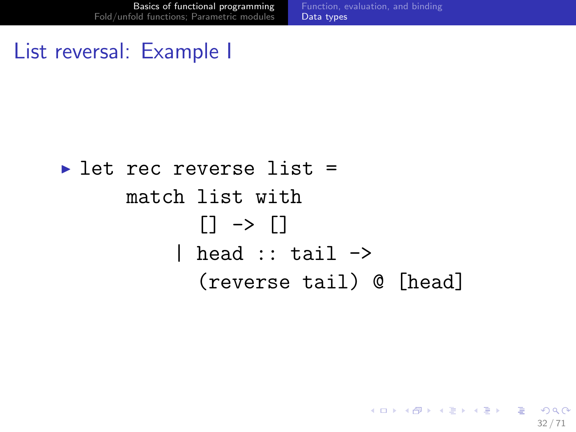[Function, evaluation, and binding](#page-3-0) [Data types](#page-26-0)

32 / 71

K ロ ▶ K @ ▶ K 할 ▶ K 할 ▶ 이 할 → 9 Q Q →

#### List reversal: Example I

# $\blacktriangleright$  let rec reverse list = match list with  $[]$  ->  $[]$ | head  $::$  tail  $\rightarrow$ (reverse tail) @ [head]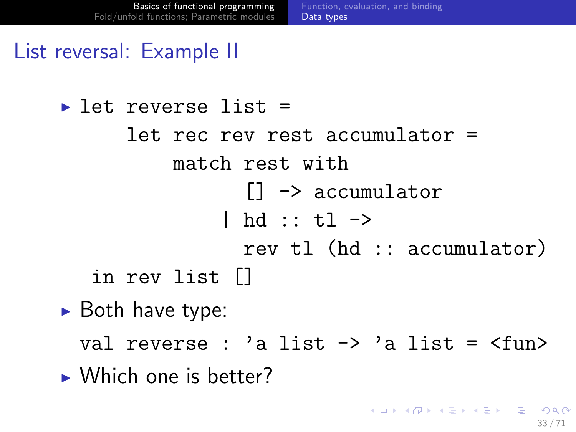### List reversal: Example II

 $\blacktriangleright$  let reverse list = let rec rev rest accumulator = match rest with [] -> accumulator | hd :: tl -> rev tl (hd :: accumulator) in rev list []

 $\blacktriangleright$  Both have type:

val reverse : 'a list  $\rightarrow$  'a list =  $\langle$ fun>

 $\blacktriangleright$  Which one is better?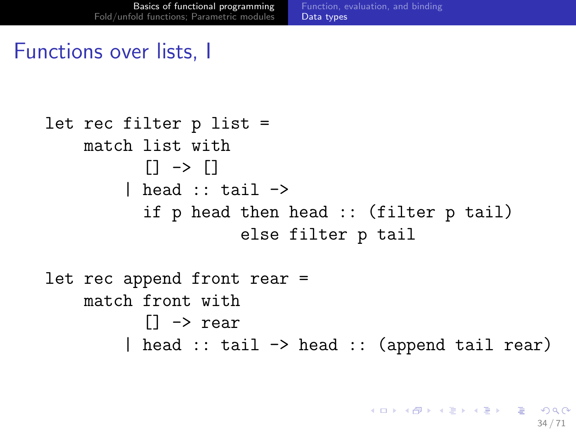[Function, evaluation, and binding](#page-3-0) [Data types](#page-26-0)

#### Functions over lists, I

```
let rec filter p list =
    match list with
           \Box \rightarrow \Box| head :: tail \rightarrowif p head then head :: (filter p tail)
                      else filter p tail
let rec append front rear =
    match front with
           [] -> rear
         | head :: tail -> head :: (append tail rear)
```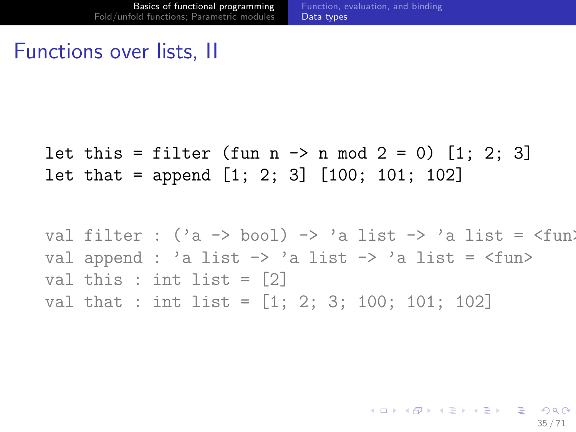[Function, evaluation, and binding](#page-3-0) [Data types](#page-26-0)

### Functions over lists, II

let this = filter (fun n  $\rightarrow$  n mod 2 = 0) [1; 2; 3] let that = append [1; 2; 3] [100; 101; 102]

val filter :  $('a \rightarrow bool) \rightarrow 'a$  list  $\rightarrow 'a$  list =  $\langle$ fun) val append : 'a list  $\rightarrow$  'a list  $\rightarrow$  'a list =  $\langle$ fun> val this : int list  $=$   $[2]$ val that : int list = [1; 2; 3; 100; 101; 102]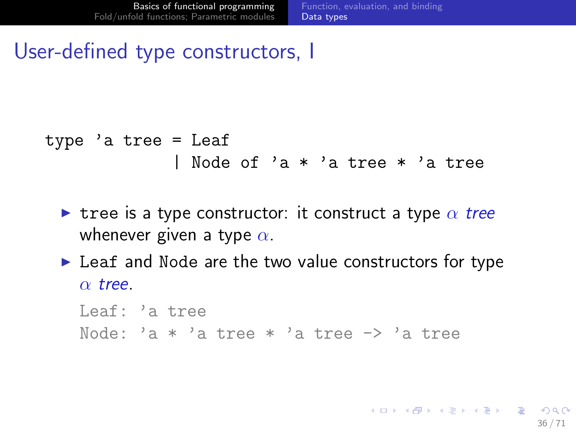36 / 71

K ロ > K 何 > K 君 > K 君 > 「君」 の Q Q

### User-defined type constructors, I

```
type 'a tree = Leaf
             | Node of 'a * 'a tree * 'a tree
```
- In tree is a type constructor: it construct a type  $\alpha$  tree whenever given a type  $\alpha$ .
- $\blacktriangleright$  Leaf and Node are the two value constructors for type  $\alpha$  tree.

Leaf: 'a tree Node: 'a  $*$  'a tree  $*$  'a tree  $\rightarrow$  'a tree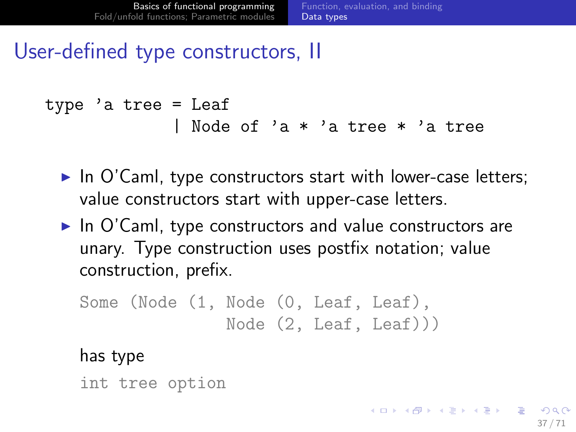### User-defined type constructors, II

```
type 'a tree = Leaf
             | Node of 'a * 'a tree * 'a tree
```
- $\blacktriangleright$  In O'Caml, type constructors start with lower-case letters; value constructors start with upper-case letters.
- $\blacktriangleright$  In O'Caml, type constructors and value constructors are unary. Type construction uses postfix notation; value construction, prefix.

```
Some (Node (1, Node (0, Leaf, Leaf),
               Node (2, Leaf, Leaf)))
```
#### has type

<span id="page-50-0"></span>int tree option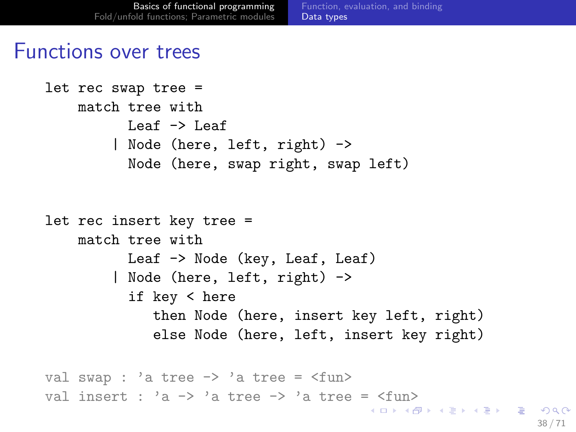#### Functions over trees

```
let rec swap tree =
   match tree with
         Leaf -> Leaf
        | Node (here, left, right) ->
         Node (here, swap right, swap left)
let rec insert key tree =
   match tree with
         Leaf -> Node (key, Leaf, Leaf)
        | Node (here, left, right) ->
         if key < here
            then Node (here, insert key left, right)
            else Node (here, left, insert key right)
val swap : 'a tree \rightarrow 'a tree = \langlefun>
n> 'a tree -> 'a tree = \timesfun>
```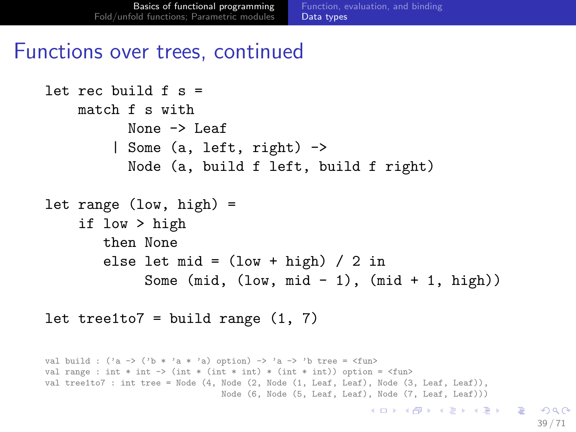#### Functions over trees, continued

```
let rec build f s =
   match f s with
          None -> Leaf
        | Some (a, left, right) ->
          Node (a, build f left, build f right)
let range (low, high) =
    if low > high
       then None
       else let mid = (low + high) / 2 inSome (mid, (low, mid - 1), (mid + 1, high))
```
let tree1to7 = build range  $(1, 7)$ 

```
val build : ('a -> ('b * 'a * 'a) option) -> 'a -> 'b tree = \timesfun>
val range : int * int -> (int * (int * int) * (int * int)) option = \langlefun>
val tree1to7 : int tree = Node (4, Node (2, Node (1, Leaf, Leaf), Node (3, Leaf, Leaf)),
                                  Node (6, Node (5, Leaf, Leaf), Node (7, Leaf, Leaf)))
                                                                KED KARD KED KED E VOQO
                                                                                                39 / 71
```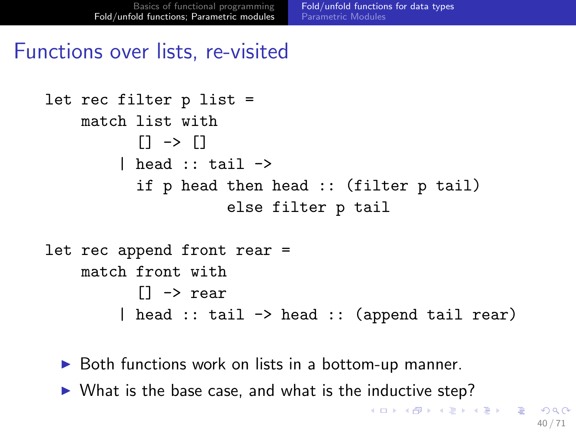#### Functions over lists, re-visited

```
let rec filter p list =
    match list with
           [1 \rightarrow [1| head :: tail \rightarrowif p head then head :: (filter p tail)
                      else filter p tail
let rec append front rear =
    match front with
           [] -> rear
         | head :: tail -> head :: (append tail rear)
```
- $\triangleright$  Both functions work on lists in a bottom-up manner.
- <span id="page-53-0"></span> $\triangleright$  What is the base case, and what is the inductive step?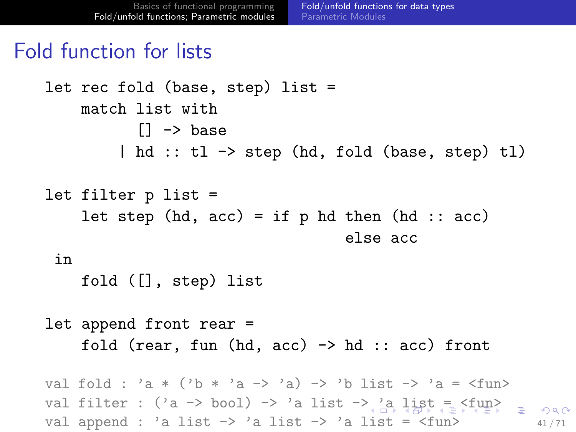### Fold function for lists

```
let rec fold (base, step) list =
    match list with
            [] -> base
         | hd :: tl -> step (hd, fold (base, step) tl)
let filter p list =
    let step (hd, acc) = if p hd then (hd :: acc)
                                      else acc
 in
    fold ([], step) list
let append front rear =
    fold (rear, fun (hd, acc) \rightarrow hd :: acc) front
val fold : 'a * ('b * 'a -> 'a) -> 'b list -> 'a = \times fun>
> 'a list = f_{\text{max}} \rangle = \langle f_{\text{max}} \rangleval append : 'a list \rightarrow 'a list \rightarrow 'a list = \langlefun> \frac{41}{71}
```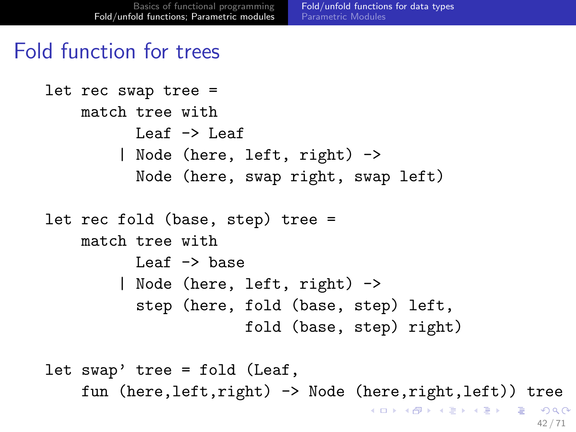#### Fold function for trees

```
let rec swap tree =
    match tree with
          Leaf \rightarrow Leaf
        | Node (here, left, right) ->
          Node (here, swap right, swap left)
let rec fold (base, step) tree =
    match tree with
          Leaf \rightarrow base
        | Node (here, left, right) ->
          step (here, fold (base, step) left,
                       fold (base, step) right)
let swap' tree = fold (Leaf,
    fun (here,left,right) -> Node (here,right,left)) tree
```
<span id="page-55-0"></span>KID KARA KEA KEA EL YORA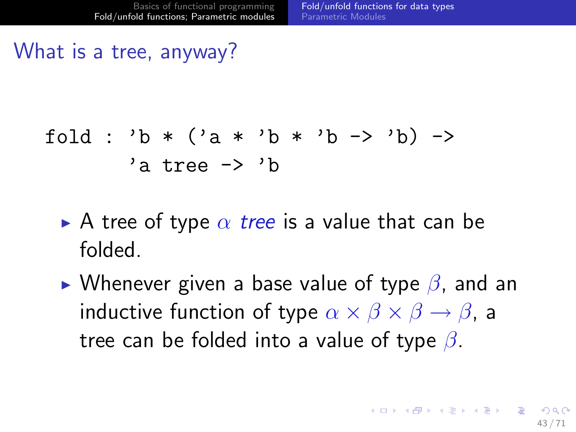### What is a tree, anyway?

$$
fold : 'b * ('a * 'b * 'b -> 'b) ->
$$
  
'a tree -> 'b

- A tree of type  $\alpha$  tree is a value that can be folded.
- <span id="page-56-0"></span>If Whenever given a base value of type  $\beta$ , and an inductive function of type  $\alpha \times \beta \times \beta \rightarrow \beta$ , a tree can be folded into a value of type  $\beta$ .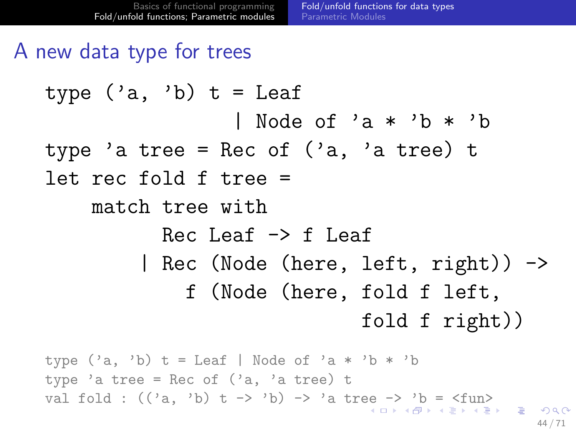## A new data type for trees

type ('a, 'b) t = Leaf | Node of 'a \* 'b \* 'b type 'a tree = Rec of ('a, 'a tree) t let rec fold f tree = match tree with Rec Leaf -> f Leaf | Rec (Node (here, left, right)) -> f (Node (here, fold f left, fold f right))

<span id="page-57-0"></span>type  $('a, 'b)$  t = Leaf | Node of 'a \* 'b \* 'b type 'a tree = Rec of  $('a, 'a tree)$  t val[f](#page-71-0)old :  $(\langle a, b \rangle t \rightarrow b)$  $(\langle a, b \rangle t \rightarrow b)$  $(\langle a, b \rangle t \rightarrow b)$  -> 'a tr[ee](#page-56-0) [->](#page-58-0) ['b](#page-57-0) [=](#page-52-0)  $\langle f$ [u](#page-52-0)n[>](#page-84-0) 44 / 71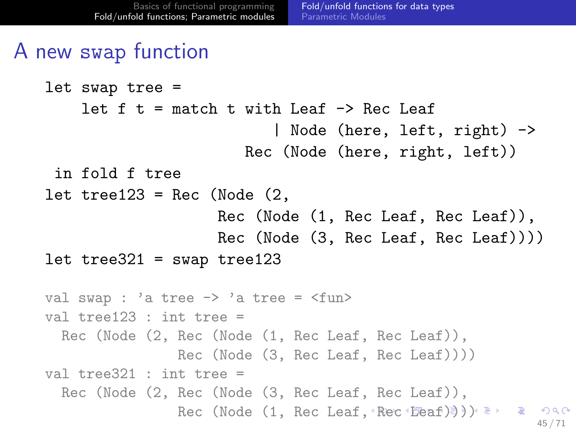## A new swap function

```
let swap tree =
    let f t = match t with Leaf \rightarrow Rec Leaf
                            | Node (here, left, right) ->
                        Rec (Node (here, right, left))
 in fold f tree
let tree123 = Rec (Node (2, 1)Rec (Node (1, Rec Leaf, Rec Leaf)),
                     Rec (Node (3, Rec Leaf, Rec Leaf))))
let tree321 = swap tree123val swap : 'a tree -> 'a tree = <fun>
val tree123 : int tree =
  Rec (Node (2, Rec (Node (1, Rec Leaf, Rec Leaf)),
                Rec (Node (3, Rec Leaf, Rec Leaf))))
val tree321 : int tree =Rec (Node (2, Rec (Node (3, Rec Leaf, Rec Leaf)),
                , Rec Leaf, Rec )})) \Rightarrow \Rightarrow \Rightarrow \circ \circ45 / 71
```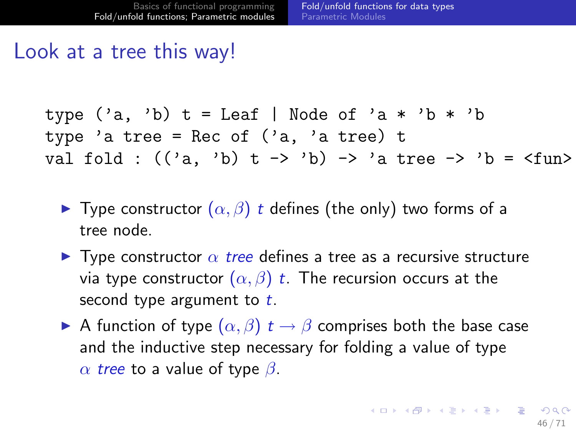#### Look at a tree this way!

type ('a, 'b) t = Leaf | Node of 'a \* 'b \* 'b type 'a tree = Rec of ('a, 'a tree) t val fold : (('a, 'b) t -> 'b) -> 'a tree -> 'b = <fun>

- $\blacktriangleright$  Type constructor  $(\alpha, \beta)$  t defines (the only) two forms of a tree node.
- **I** Type constructor  $\alpha$  tree defines a tree as a recursive structure via type constructor  $(\alpha, \beta)$  t. The recursion occurs at the second type argument to  $t$ .
- <span id="page-59-0"></span>A function of type  $(\alpha, \beta)$   $t \to \beta$  comprises both the base case and the inductive step necessary for folding a value of type  $\alpha$  tree to a value of type  $\beta$ .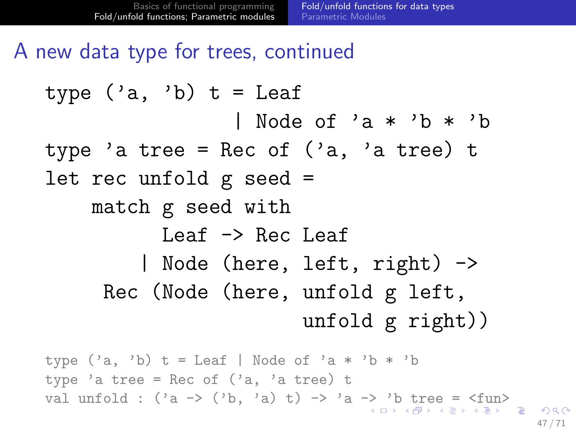A new data type for trees, continued

type ('a, 'b) t = Leaf | Node of 'a \* 'b \* 'b type 'a tree = Rec of ('a, 'a tree) t let rec unfold g seed = match g seed with Leaf -> Rec Leaf | Node (here, left, right) -> Rec (Node (here, unfold g left, unfold g right))

<span id="page-60-0"></span>type  $('a, 'b)$  t = Leaf | Node of 'a \* 'b \* 'b type 'a tree = Rec of  $('a, 'a tree)$  t val unfold : ('a [->](#page-59-0) (['b](#page-61-0), 'a) t) -> 'a -> 'b [tr](#page-60-0)[e](#page-52-0)e[=](#page-70-0)  $\langle \text{fun} \rangle$  $\langle \text{fun} \rangle$  $\langle \text{fun} \rangle$  $\langle \text{fun} \rangle$ 47 / 71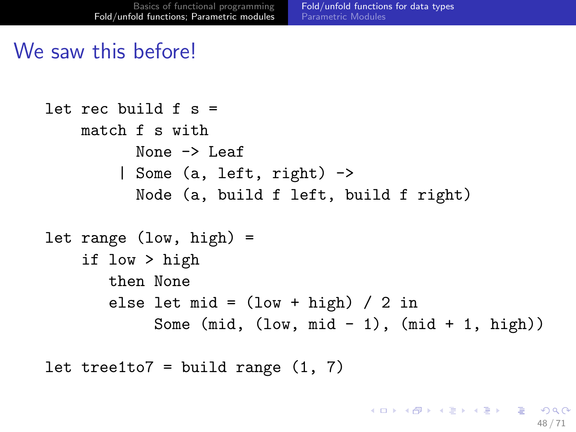### We saw this before!

```
let rec build f s =
    match f s with
           None -> Leaf
         | Some (a, left, right) ->
           Node (a, build f left, build f right)
let range (low, high) =
    if low > high
        then None
        else let mid = (low + high) / 2 inSome (\text{mid}, (\text{low}, \text{mid} - 1), (\text{mid} + 1, \text{high}))
```
<span id="page-61-0"></span>let tree1to7 = build range  $(1, 7)$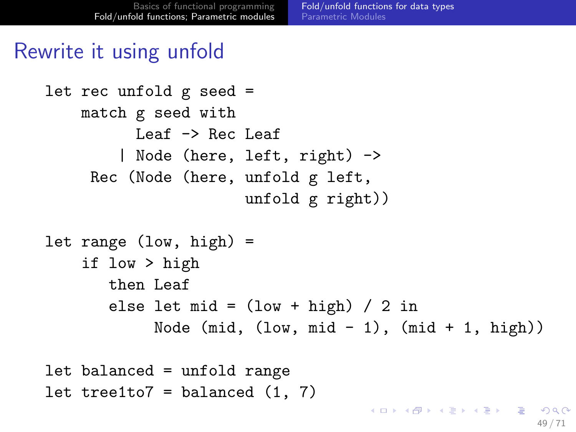### Rewrite it using unfold

```
let rec unfold g seed =
    match g seed with
          Leaf -> Rec Leaf
        | Node (here, left, right) ->
     Rec (Node (here, unfold g left,
                      unfold g right))
let range (low, high) =if low > high
       then Leaf
       else let mid = (low + high) / 2 inNode (mid, (low, mid - 1), (mid + 1, high))
```

```
let balanced = unfold range
let tree1to7 = balanced (1, 7)KED KARD KED KED E VOQO
```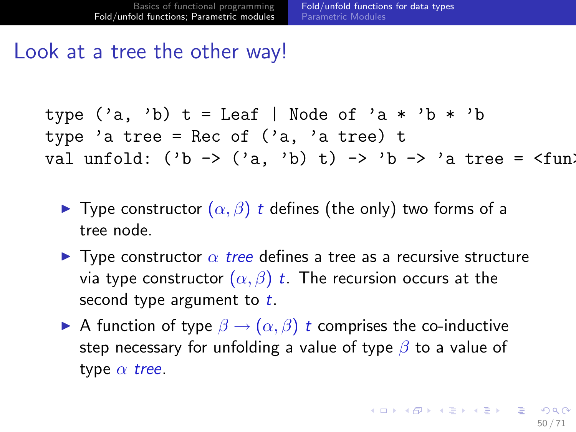#### Look at a tree the other way!

```
\ntype ('a, 'b) t = Leaf | Node of 'a * 'b * 'b\ntype 'a tree = Rec of ('a, 'a tree) t\nval unfold: ('b -> ('a, 'b) t) -> 'b -> 'a tree = 
$$
\langle fun \rangle
$$
\n
```

- $\triangleright$  Type constructor  $(α, β)$  t defines (the only) two forms of a tree node.
- **I** Type constructor  $\alpha$  tree defines a tree as a recursive structure via type constructor  $(\alpha, \beta)$  t. The recursion occurs at the second type argument to  $t$ .
- <span id="page-63-0"></span>A function of type  $\beta \rightarrow (\alpha, \beta)$  t comprises the co-inductive step necessary for unfolding a value of type  $\beta$  to a value of type  $\alpha$  tree.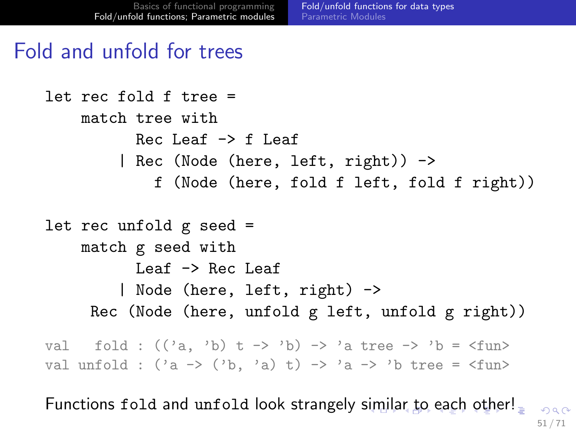#### Fold and unfold for trees

```
let rec fold f tree =match tree with
            Rec Leaf \rightarrow f Leaf
          | Rec (Node (here, left, right)) ->
               f (Node (here, fold f left, fold f right))
let rec unfold g seed =
    match g seed with
            Leaf -> Rec Leaf
          | Node (here, left, right) ->
      Rec (Node (here, unfold g left, unfold g right))
val fold : ((a, 'b) t \rightarrow 'b) \rightarrow 'a tree \rightarrow 'b = \langle fun \rangleval unfold : (2a \rightarrow (2b, 2a) t) \rightarrow 2a \rightarrow 2b tree = \langle fun
```
<span id="page-64-0"></span>Functions fold and unfold look strangely [sim](#page-63-0)[ila](#page-65-0)[r](#page-63-0) [to](#page-64-0) [e](#page-52-0)[a](#page-53-0)[c](#page-70-0)[h](#page-71-0) [o](#page-52-0)[t](#page-53-0)[he](#page-84-0)[r!](#page-0-0)  $000$ 51 / 71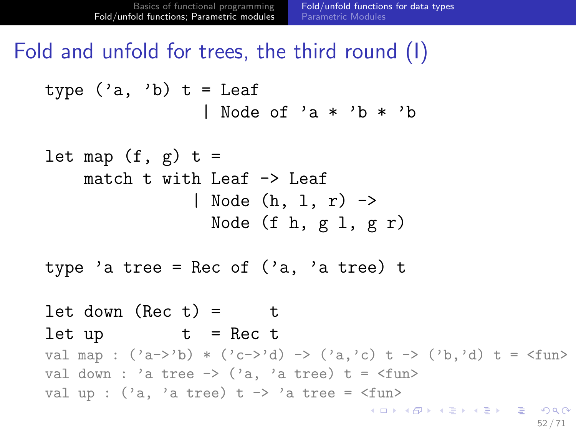Fold and unfold for trees, the third round (I)

type ('a, 'b) 
$$
t =
$$
Leaf  
| Node of 'a \* 'b \* 'b

let map (f, g) t = match t with Leaf -> Leaf | Node (h, l, r) -> Node (f h, g l, g r)

type 'a tree = Rec of  $('a, 'a tree)$  t

```
let down (Rec t) = tlet up t = Rec tval map : ('a->'b) * ('c->'d) -> ('a,'c) t -> ('b,'d) t = <fun></math>val down : 'a tree \rightarrow ('a, 'a tree) t = \langlefun>
val up : (2a, 2a) tree) t -> 2a tree = \langlefun>
                                          K ロ ▶ K @ ▶ K 할 ▶ K 할 ▶ 이 할 → 9 Q Q →
```
<span id="page-65-0"></span>52 / 71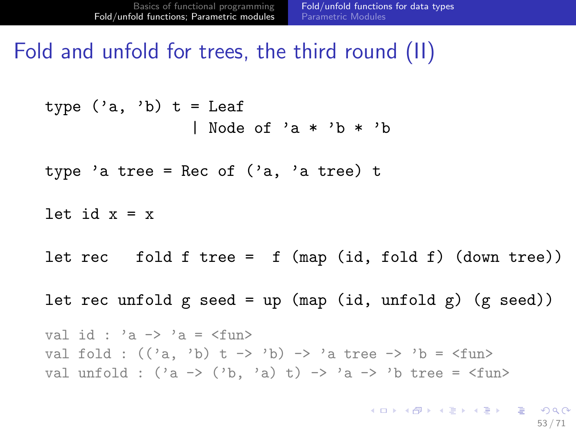Fold and unfold for trees, the third round (II)

type  $('a, 'b)$  t = Leaf | Node of 'a \* 'b \* 'b type 'a tree = Rec of  $('a, 'a tree)$  t let id  $x = x$ let rec fold f tree = f (map (id, fold f) (down tree)) let rec unfold  $g$  seed = up (map (id, unfold  $g$ ) ( $g$  seed)) val id : 'a  $\rightarrow$  'a =  $\langle$ fun> val fold :  $((a, 'b) t \rightarrow 'b)$  -> 'a tree -> 'b =  $\times$  fun> val unfold :  $(\alpha - \alpha)$   $(\alpha - \alpha)$   $(\alpha - \alpha)$   $(\alpha - \alpha)$   $(\alpha - \alpha)$   $(\alpha - \alpha)$   $(\alpha - \alpha)$ K ロ ▶ K @ ▶ K 할 ▶ K 할 ▶ → 할 → 9 Q @

53 / 71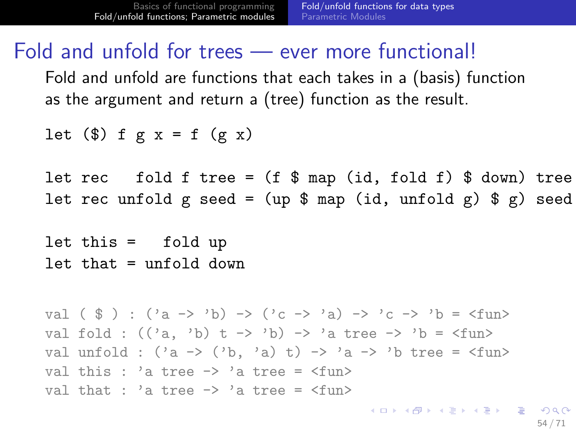#### Fold and unfold for trees — ever more functional!

Fold and unfold are functions that each takes in a (basis) function as the argument and return a (tree) function as the result.

```
let (\text{$\$}) f g x = f (g \text{ x})
```
let rec fold f tree =  $(f \$  map (id, fold f)  $\$  down) tree let rec unfold g seed = (up  $\frac{1}{2}$  map (id, unfold g)  $\frac{1}{2}$  g) seed

let this = fold up let that = unfold down

```
val (\hat{s}): (\hat{a} \to \hat{b}) -> (\hat{c} \to \hat{a}) -> (c \to \hat{c}) -> (c \to \hat{c})val fold : ((a, 'b) t \rightarrow 'b) \rightarrow 'a tree \rightarrow 'b = \langle fun \rangleval unfold : (\alpha - \alpha) (\alpha - \alpha) (\alpha - \alpha) (\alpha - \alpha) (\alpha - \alpha) (\alpha - \alpha) (\alpha - \alpha)val this : 'a tree \rightarrow 'a tree = \langlefun>
val that : 'a tree \rightarrow 'a tree = \langlefun>
```
K ロ ▶ K 個 ▶ K 로 ▶ K 로 ▶ - 로 - K 9 Q @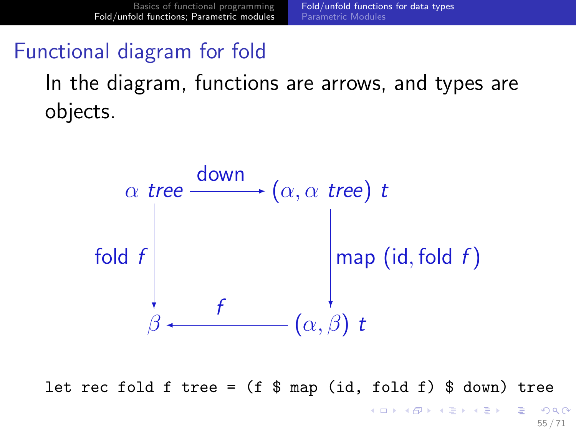## Functional diagram for fold

In the diagram, functions are arrows, and types are objects.



let rec fold f tree =  $(f \$  map (id, fold f)  $\$  down) tree

 $2990$ 55 / 71

イロト イ押ト イヨト イヨト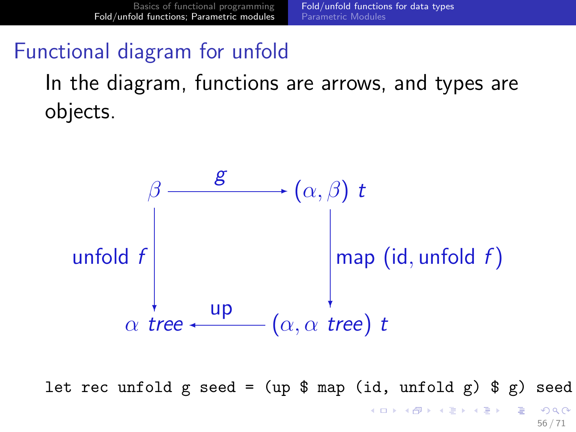## Functional diagram for unfold

In the diagram, functions are arrows, and types are objects.



let rec unfold g seed = (up  $\frac{1}{2}$  map (id, unfold g)  $\frac{1}{2}$  g) seed  $\mathbf{C} = \{ \mathbf{C} \in \mathbb{R} \mid \mathbf{C} \in \mathbb{R} \mid \mathbf{C} \in \mathbb{R} \text{ and } \mathbf{C} \in \mathbb{R} \text{ and } \mathbf{C} \in \mathbb{R} \text{ and } \mathbf{C} \in \mathbb{R} \text{ and } \mathbf{C} \in \mathbb{R} \text{ and } \mathbf{C} \in \mathbb{R} \text{ and } \mathbf{C} \in \mathbb{R} \text{ and } \mathbf{C} \in \mathbb{R} \text{ and } \mathbf{C} \in \mathbb{R} \text{ and } \mathbf{C} \in$  $QQ$ 

56 / 71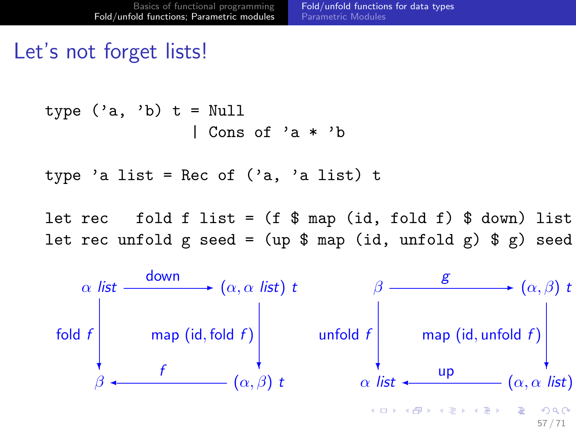## Let's not forget lists!

$$
type ('a, 'b) t = Null
$$
  
| Cons of 'a \* 'b

type 'a list = Rec of  $('a, 'a list)$  t

let rec fold f list =  $(f \$  map (id, fold f)  $\$  down) list let rec unfold g seed = (up  $\$  map (id, unfold g)  $\$ g) seed

<span id="page-70-0"></span>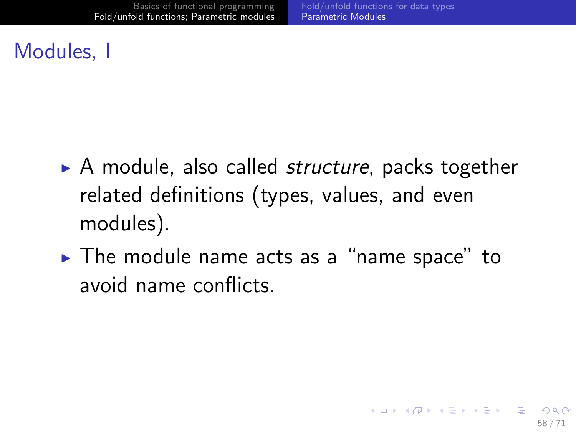## Modules, I

- $\triangleright$  A module, also called *structure*, packs together related definitions (types, values, and even modules).
- <span id="page-71-0"></span> $\triangleright$  The module name acts as a "name space" to avoid name conflicts.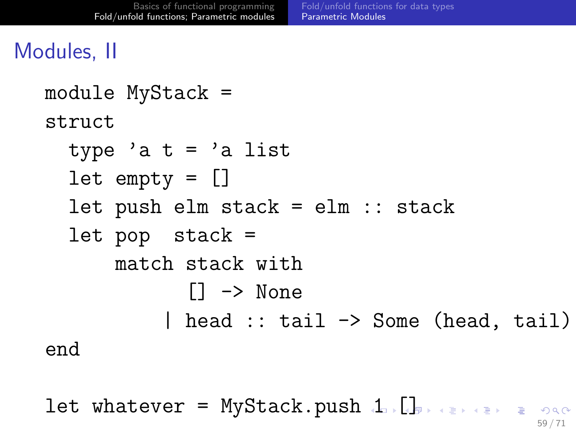# Modules, II

```
module MyStack =
struct
  type 'a t = 'a list
  let empty = []
  let push elm stack = elm :: stack
  let pop stack =
      match stack with
            [] -> None
          | head :: tail -> Some (head, tail)
end
```
<span id="page-72-0"></span>let whatever = MyStack.push [1](#page-71-0). $\Box$ 59 / 71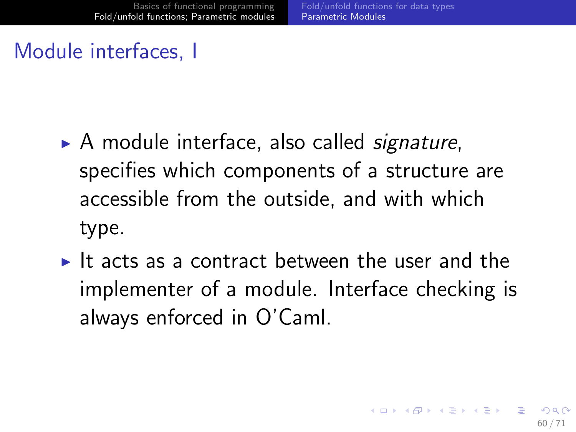# Module interfaces, I

- $\triangleright$  A module interface, also called *signature*, specifies which components of a structure are accessible from the outside, and with which type.
- <span id="page-73-0"></span>It acts as a contract between the user and the implementer of a module. Interface checking is always enforced in O'Caml.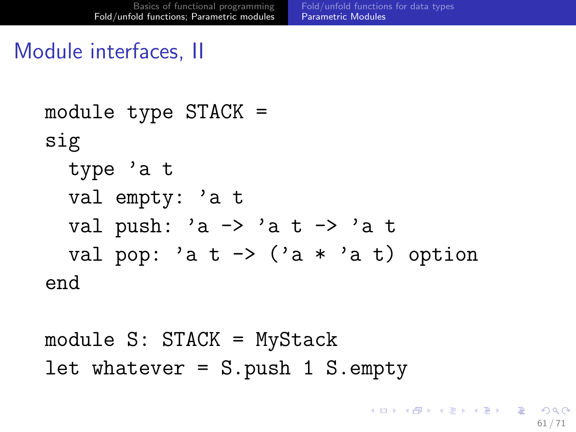## Module interfaces, II

```
module type STACK =
sig
  type 'a t
  val empty: 'a t
  val push: a \rightarrow a + b at \rightarrow a + bval pop: 'a t \rightarrow ('a * 'a t) option
end
```

```
module S: STACK = MyStack
let whatever = S.push 1 S.empty
```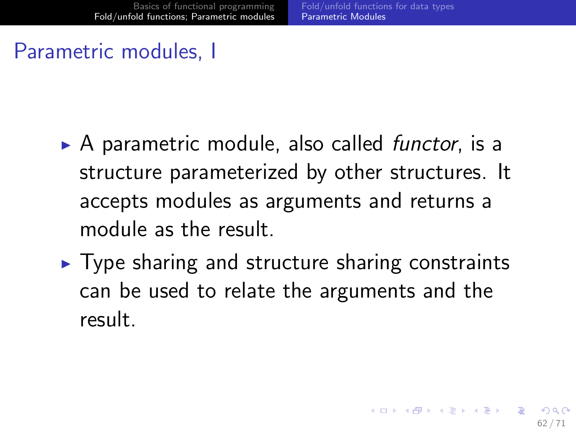## Parametric modules, I

- $\triangleright$  A parametric module, also called *functor*, is a structure parameterized by other structures. It accepts modules as arguments and returns a module as the result.
- $\triangleright$  Type sharing and structure sharing constraints can be used to relate the arguments and the result.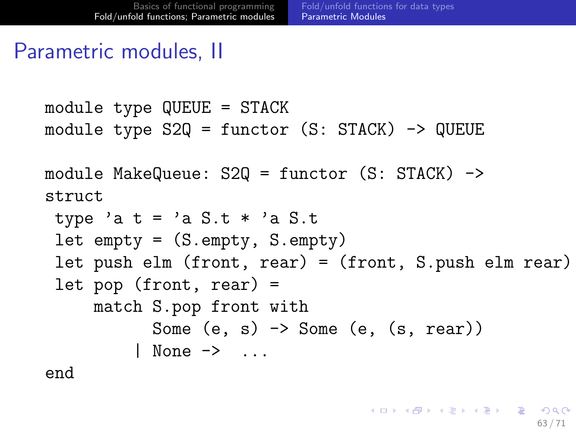63 / 71

K ロ ▶ K @ ▶ K 할 ▶ K 할 ▶ ( 할 ) 900

### Parametric modules, II

```
module type QUEUE = STACK
module type S2Q = function (S: STACK) -> QUEUE
```

```
module MakeQueue: S2Q = functor (S: STACK) ->
struct
```

```
type 'a t = 'a S.t * 'a S.tlet empty = (S.empty, S.empty)let push elm (front, rear) = (front, S.push elm rear)
let pop (front, rear) =
    match S.pop front with
          Some (e, s) \rightarrow Some (e, (s, rear))| None -> ...
```
end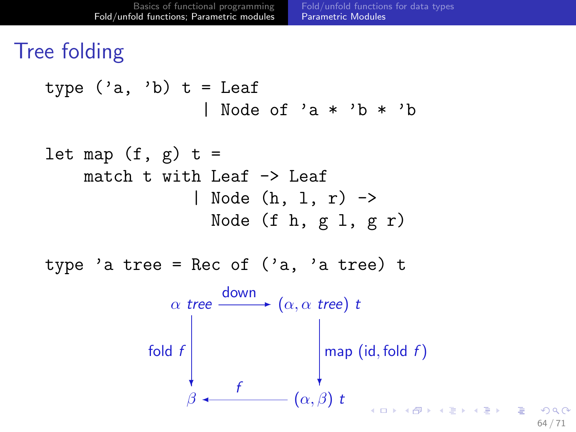# Tree folding



64 / 71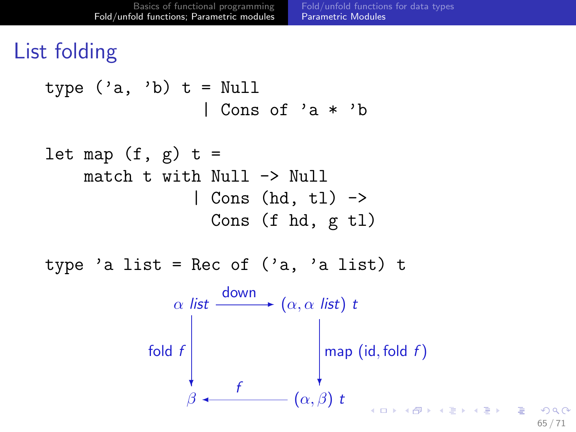# List folding

type ('a, 'b) t = Null | Cons of 'a \* 'b let map (f, g) t = match t with Null -> Null | Cons (hd, tl) -> Cons (f hd, g tl)

type 'a list = Rec of  $('a, 'a list)$  t

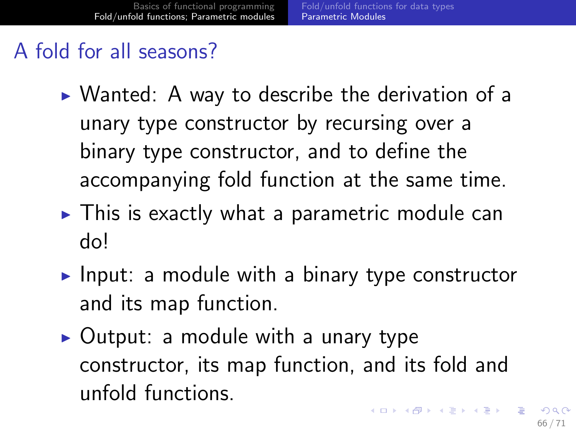## A fold for all seasons?

- $\triangleright$  Wanted: A way to describe the derivation of a unary type constructor by recursing over a binary type constructor, and to define the accompanying fold function at the same time.
- $\triangleright$  This is exactly what a parametric module can do!
- Input: a module with a binary type constructor and its map function.
- <span id="page-79-0"></span> $\triangleright$  Output: a module with a unary type constructor, its map function, and its fold and unfold functions.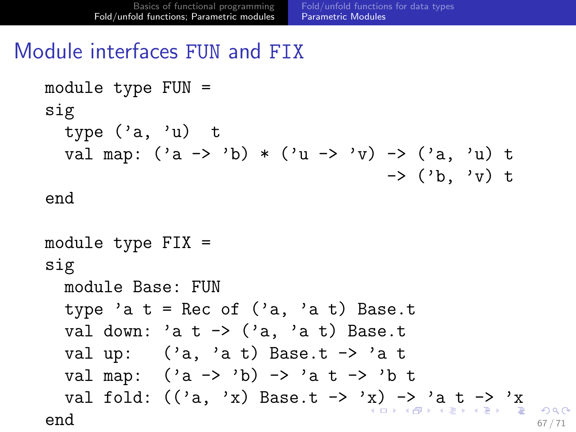## Module interfaces FUN and FIX

```
module type FUN =
sig
  type ('a, 'u) t
  val map: (\alpha \rightarrow \alpha) * (\alpha \rightarrow \alpha) \rightarrow (\alpha, \alpha) t
                                        \rightarrow ('b, 'v) t
end
module type FIX =
sig
  module Base: FUN
  type 'a t = Rec of ('a, 'a t) Base.tval down: 'a t \rightarrow ('a, 'a t) Base.t
  val up: ('a, 'a t) Base.t \rightarrow 'a tval map: ('a \rightarrow 'b) \rightarrow 'a \tarrow 'b t
  val fold: (('a, 'x) Base.t -> 'x) -> 'a t -> 'x
end \frac{67}{71}
```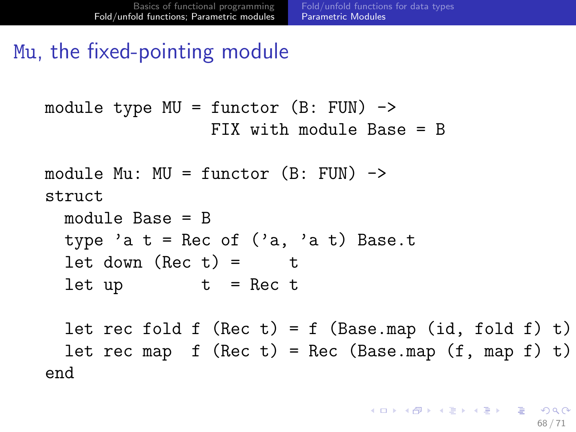## Mu, the fixed-pointing module

```
module type MU = function (B: FUN) ->
                 FIX with module Base = B
```

```
module Mu: MU = function (B: FUN) \rightarrowstruct
  module Base = B
  type 'a t = Rec of ('a, 'a t) Base.t
```

```
let down (Rec t) = tlet up t = Rec t
```
<span id="page-81-0"></span>let rec fold  $f$  (Rec  $t$ ) =  $f$  (Base.map (id, fold  $f$ )  $t$ ) let rec map  $f$  (Rec  $t$ ) = Rec (Base.map (f, map  $f$ )  $t$ ) end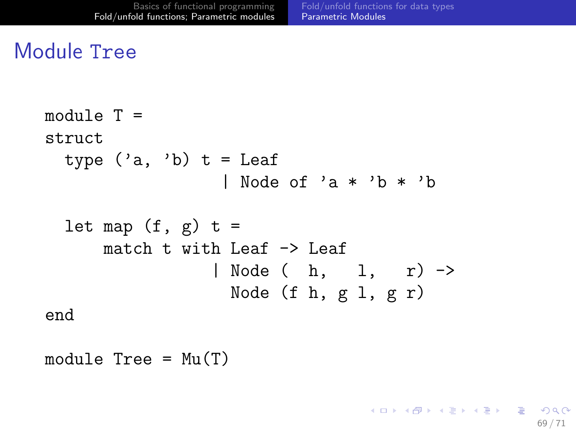### Module Tree

```
module T =struct
  type ('a, 'b) t = Leaf
                   | Node of 'a * 'b * 'b
  let map (f, g) t =
      match t with Leaf \rightarrow Leaf
                  | Node ( h, 1, r) ->
                    Node (f h, g 1, g r)
end
```
module  $Tree = Mu(T)$ 

K ロ ▶ K @ ▶ K 할 ▶ K 할 ▶ ( 할 ) 900 69 / 71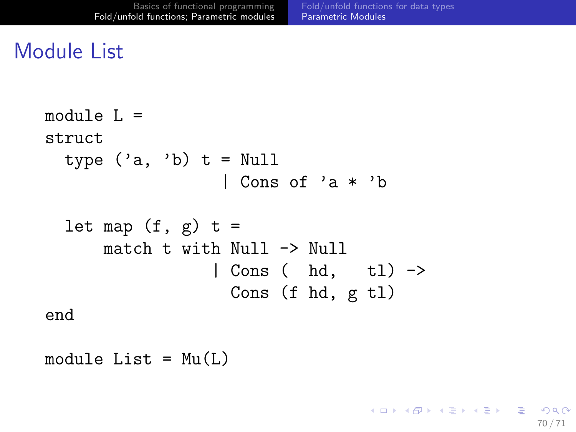70 / 71

K ロ ▶ K @ ▶ K 할 ▶ K 할 ▶ ( 할 ) 900

## Module List

```
module L =struct
  type ('a, 'b) t = Null
                  | Cons of 'a * 'b
  let map (f, g) t =
      match t with Nu11 - > Nu11| Cons ( hd, tl) ->
                   Cons (f hd, g tl)
end
```
module  $List = Mu(L)$